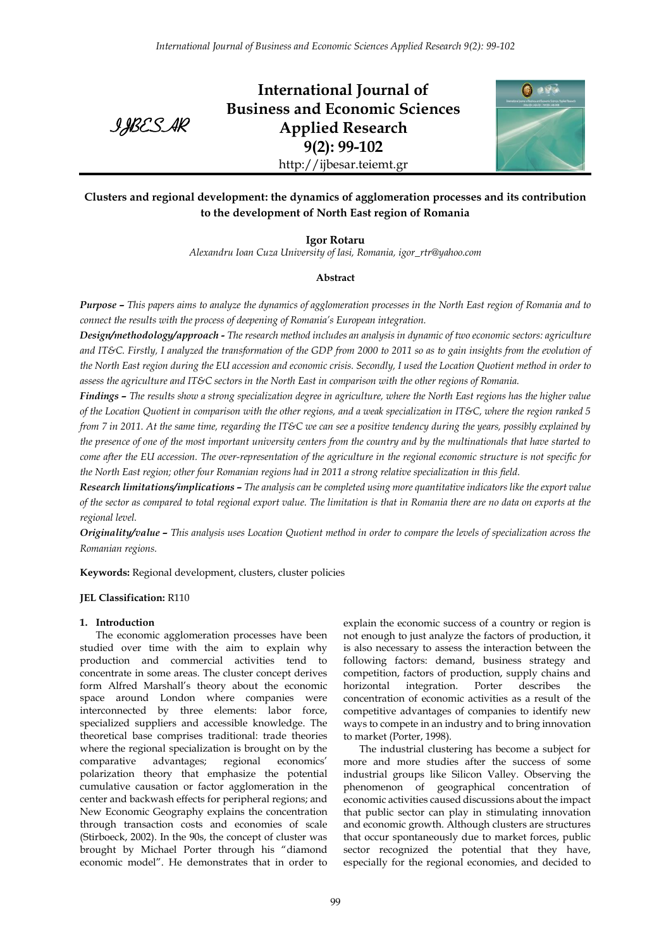IJBESAR

**International Journal of Business and Economic Sciences Applied Research 9(2): 99-102** http://ijbesar.teiemt.gr



# **Clusters and regional development: the dynamics of agglomeration processes and its contribution to the development of North East region of Romania**

**Igor Rotaru**

*Alexandru Ioan Cuza University of Iasi, Romania, igor\_rtr@yahoo.com*

## **Abstract**

*Purpose – This papers aims to analyze the dynamics of agglomeration processes in the North East region of Romania and to connect the results with the process of deepening of Romania's European integration.*

*Design/methodology/approach - The research method includes an analysis in dynamic of two economic sectors: agriculture and IT&C. Firstly, I analyzed the transformation of the GDP from 2000 to 2011 so as to gain insights from the evolution of*  the North East region during the EU accession and economic crisis. Secondly, I used the Location Quotient method in order to *assess the agriculture and IT&C sectors in the North East in comparison with the other regions of Romania.*

*Findings – The results show a strong specialization degree in agriculture, where the North East regions has the higher value of the Location Quotient in comparison with the other regions, and a weak specialization in IT&C, where the region ranked 5 from 7 in 2011. At the same time, regarding the IT&C we can see a positive tendency during the years, possibly explained by the presence of one of the most important university centers from the country and by the multinationals that have started to come after the EU accession. The over-representation of the agriculture in the regional economic structure is not specific for the North East region; other four Romanian regions had in 2011 a strong relative specialization in this field.*

*Research limitations/implications – The analysis can be completed using more quantitative indicators like the export value of the sector as compared to total regional export value. The limitation is that in Romania there are no data on exports at the regional level.*

*Originality/value – This analysis uses Location Quotient method in order to compare the levels of specialization across the Romanian regions.*

**Keywords:** Regional development, clusters, cluster policies

## **JEL Classification:** R110

## **1. Introduction**

The economic agglomeration processes have been studied over time with the aim to explain why production and commercial activities tend to concentrate in some areas. The cluster concept derives form Alfred Marshall's theory about the economic space around London where companies were interconnected by three elements: labor force, specialized suppliers and accessible knowledge. The theoretical base comprises traditional: trade theories where the regional specialization is brought on by the comparative advantages; regional economics' polarization theory that emphasize the potential cumulative causation or factor agglomeration in the center and backwash effects for peripheral regions; and New Economic Geography explains the concentration through transaction costs and economies of scale (Stirboeck, 2002). In the 90s, the concept of cluster was brought by Michael Porter through his "diamond economic model". He demonstrates that in order to

explain the economic success of a country or region is not enough to just analyze the factors of production, it is also necessary to assess the interaction between the following factors: demand, business strategy and competition, factors of production, supply chains and horizontal integration. Porter describes the concentration of economic activities as a result of the competitive advantages of companies to identify new ways to compete in an industry and to bring innovation to market (Porter, 1998).

The industrial clustering has become a subject for more and more studies after the success of some industrial groups like Silicon Valley. Observing the phenomenon of geographical concentration of economic activities caused discussions about the impact that public sector can play in stimulating innovation and economic growth. Although clusters are structures that occur spontaneously due to market forces, public sector recognized the potential that they have, especially for the regional economies, and decided to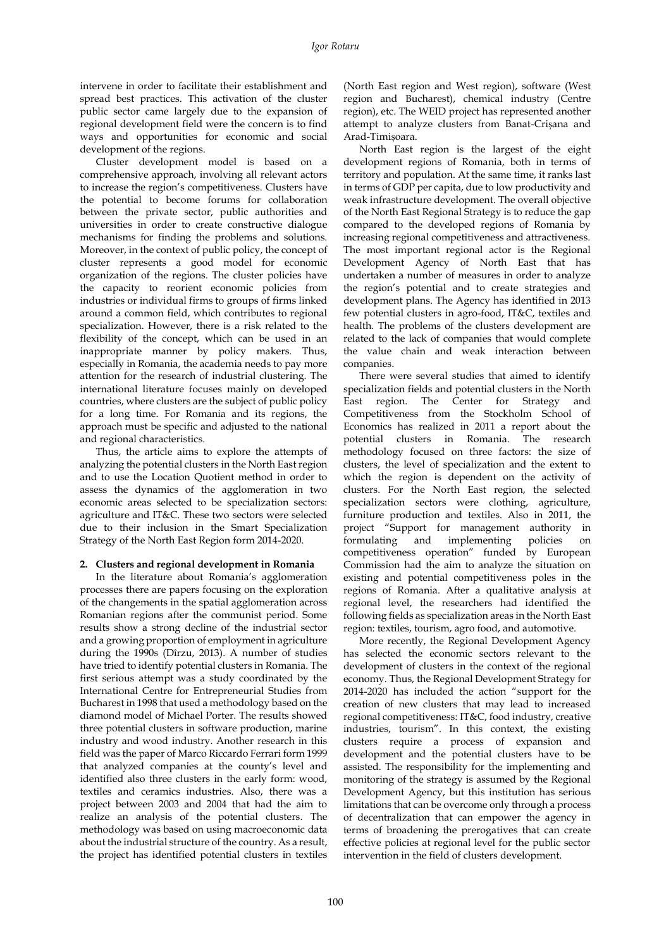intervene in order to facilitate their establishment and spread best practices. This activation of the cluster public sector came largely due to the expansion of regional development field were the concern is to find ways and opportunities for economic and social development of the regions.

Cluster development model is based on a comprehensive approach, involving all relevant actors to increase the region's competitiveness. Clusters have the potential to become forums for collaboration between the private sector, public authorities and universities in order to create constructive dialogue mechanisms for finding the problems and solutions. Moreover, in the context of public policy, the concept of cluster represents a good model for economic organization of the regions. The cluster policies have the capacity to reorient economic policies from industries or individual firms to groups of firms linked around a common field, which contributes to regional specialization. However, there is a risk related to the flexibility of the concept, which can be used in an inappropriate manner by policy makers. Thus, especially in Romania, the academia needs to pay more attention for the research of industrial clustering. The international literature focuses mainly on developed countries, where clusters are the subject of public policy for a long time. For Romania and its regions, the approach must be specific and adjusted to the national and regional characteristics.

Thus, the article aims to explore the attempts of analyzing the potential clusters in the North East region and to use the Location Quotient method in order to assess the dynamics of the agglomeration in two economic areas selected to be specialization sectors: agriculture and IT&C. These two sectors were selected due to their inclusion in the Smart Specialization Strategy of the North East Region form 2014-2020.

## **2. Clusters and regional development in Romania**

In the literature about Romania's agglomeration processes there are papers focusing on the exploration of the changements in the spatial agglomeration across Romanian regions after the communist period. Some results show a strong decline of the industrial sector and a growing proportion of employment in agriculture during the 1990s (Dîrzu, 2013). A number of studies have tried to identify potential clusters in Romania. The first serious attempt was a study coordinated by the International Centre for Entrepreneurial Studies from Bucharest in 1998 that used a methodology based on the diamond model of Michael Porter. The results showed three potential clusters in software production, marine industry and wood industry. Another research in this field was the paper of Marco Riccardo Ferrari form 1999 that analyzed companies at the county's level and identified also three clusters in the early form: wood, textiles and ceramics industries. Also, there was a project between 2003 and 2004 that had the aim to realize an analysis of the potential clusters. The methodology was based on using macroeconomic data about the industrial structure of the country. As a result, the project has identified potential clusters in textiles

(North East region and West region), software (West region and Bucharest), chemical industry (Centre region), etc. The WEID project has represented another attempt to analyze clusters from Banat-Crișana and Arad-Timișoara.

North East region is the largest of the eight development regions of Romania, both in terms of territory and population. At the same time, it ranks last in terms of GDP per capita, due to low productivity and weak infrastructure development. The overall objective of the North East Regional Strategy is to reduce the gap compared to the developed regions of Romania by increasing regional competitiveness and attractiveness. The most important regional actor is the Regional Development Agency of North East that has undertaken a number of measures in order to analyze the region's potential and to create strategies and development plans. The Agency has identified in 2013 few potential clusters in agro-food, IT&C, textiles and health. The problems of the clusters development are related to the lack of companies that would complete the value chain and weak interaction between companies.

There were several studies that aimed to identify specialization fields and potential clusters in the North East region. The Center for Strategy and Competitiveness from the Stockholm School of Economics has realized in 2011 a report about the potential clusters in Romania. The research methodology focused on three factors: the size of clusters, the level of specialization and the extent to which the region is dependent on the activity of clusters. For the North East region, the selected specialization sectors were clothing, agriculture, furniture production and textiles. Also in 2011, the project "Support for management authority in formulating and implementing policies on competitiveness operation" funded by European Commission had the aim to analyze the situation on existing and potential competitiveness poles in the regions of Romania. After a qualitative analysis at regional level, the researchers had identified the following fields as specialization areas in the North East region: textiles, tourism, agro food, and automotive.

More recently, the Regional Development Agency has selected the economic sectors relevant to the development of clusters in the context of the regional economy. Thus, the Regional Development Strategy for 2014-2020 has included the action "support for the creation of new clusters that may lead to increased regional competitiveness: IT&C, food industry, creative industries, tourism". In this context, the existing clusters require a process of expansion and development and the potential clusters have to be assisted. The responsibility for the implementing and monitoring of the strategy is assumed by the Regional Development Agency, but this institution has serious limitations that can be overcome only through a process of decentralization that can empower the agency in terms of broadening the prerogatives that can create effective policies at regional level for the public sector intervention in the field of clusters development.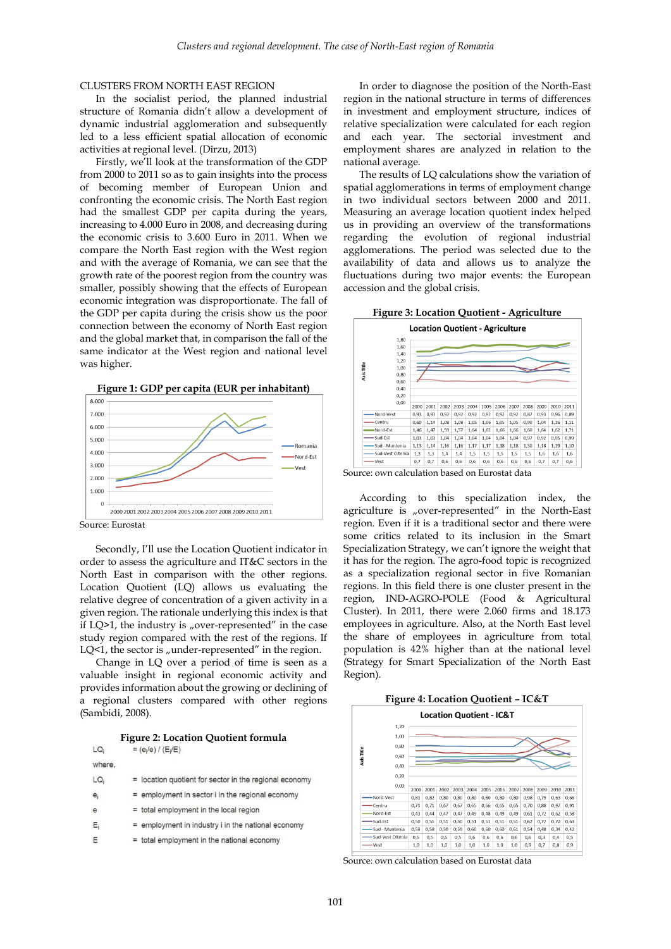#### CLUSTERS FROM NORTH EAST REGION

In the socialist period, the planned industrial structure of Romania didn't allow a development of dynamic industrial agglomeration and subsequently led to a less efficient spatial allocation of economic activities at regional level. (Dîrzu, 2013)

Firstly, we'll look at the transformation of the GDP from 2000 to 2011 so as to gain insights into the process of becoming member of European Union and confronting the economic crisis. The North East region had the smallest GDP per capita during the years, increasing to 4.000 Euro in 2008, and decreasing during the economic crisis to 3.600 Euro in 2011. When we compare the North East region with the West region and with the average of Romania, we can see that the growth rate of the poorest region from the country was smaller, possibly showing that the effects of European economic integration was disproportionate. The fall of the GDP per capita during the crisis show us the poor connection between the economy of North East region and the global market that, in comparison the fall of the same indicator at the West region and national level was higher.



Source: Eurostat

Secondly, I'll use the Location Quotient indicator in order to assess the agriculture and IT&C sectors in the North East in comparison with the other regions. Location Quotient (LQ) allows us evaluating the relative degree of concentration of a given activity in a given region. The rationale underlying this index is that if  $LQ>1$ , the industry is "over-represented" in the case study region compared with the rest of the regions. If LQ $\leq$ 1, the sector is "under-represented" in the region.

Change in LQ over a period of time is seen as a valuable insight in regional economic activity and provides information about the growing or declining of a regional clusters compared with other regions (Sambidi, 2008).

**Figure 2: Location Quotient formula**

| LQ <sub>i</sub> | $= (e_i/e) / (E_i/E)$                                  |
|-----------------|--------------------------------------------------------|
| where.          |                                                        |
| LQ <sub>i</sub> | = location quotient for sector in the regional economy |
| $e_i$           | $=$ employment in sector i in the regional economy     |
| $\epsilon$      | = total employment in the local region                 |
| $E_i$           | $=$ employment in industry i in the national economy   |
| Ε               | = total employment in the national economy             |
|                 |                                                        |

In order to diagnose the position of the North-East region in the national structure in terms of differences in investment and employment structure, indices of relative specialization were calculated for each region and each year. The sectorial investment and employment shares are analyzed in relation to the national average.

The results of LQ calculations show the variation of spatial agglomerations in terms of employment change in two individual sectors between 2000 and 2011. Measuring an average location quotient index helped us in providing an overview of the transformations regarding the evolution of regional industrial agglomerations. The period was selected due to the availability of data and allows us to analyze the fluctuations during two major events: the European accession and the global crisis.





Source: own calculation based on Eurostat data

According to this specialization index, the agriculture is "over-represented" in the North-East region. Even if it is a traditional sector and there were some critics related to its inclusion in the Smart Specialization Strategy, we can't ignore the weight that it has for the region. The agro-food topic is recognized as a specialization regional sector in five Romanian regions. In this field there is one cluster present in the region, IND-AGRO-POLE (Food & Agricultural Cluster). In 2011, there were 2.060 firms and 18.173 employees in agriculture. Also, at the North East level the share of employees in agriculture from total population is 42% higher than at the national level (Strategy for Smart Specialization of the North East Region).



| <b>Location Quotient - IC&amp;T</b> |                    |      |      |      |      |      |      |      |      |      |      |      |      |
|-------------------------------------|--------------------|------|------|------|------|------|------|------|------|------|------|------|------|
|                                     | 1,20               |      |      |      |      |      |      |      |      |      |      |      |      |
|                                     | 1.00               |      |      |      |      |      |      |      |      |      |      |      |      |
|                                     | 0,80               |      |      |      |      |      |      |      |      |      |      |      |      |
|                                     | Axis Title<br>0,60 |      |      |      |      |      |      |      |      |      |      |      |      |
|                                     | 0.40               |      |      |      |      |      |      |      |      |      |      |      |      |
|                                     | 0.20               |      |      |      |      |      |      |      |      |      |      |      |      |
|                                     | 0,00               | 2000 | 2001 | 2002 | 2003 | 2004 | 2005 | 2006 | 2007 | 2008 | 2009 | 2010 | 2011 |
|                                     | -Nord-Vest         | 0.81 | 0.82 | 0.80 | 0.80 | 0.80 | 0.80 | 0.80 | 0.80 | 0.98 | 0.79 | 0.63 | 0.66 |
|                                     | $-$ Centru         | 0,71 | 0,71 | 0,67 | 0,67 | 0,65 | 0,66 | 0,65 | 0,65 | 0,70 | 0,88 | 0,97 | 0,91 |
|                                     | Nord-Est           | 0,43 | 0,44 | 0,47 | 0,47 | 0,49 | 0,48 | 0,49 | 0,49 | 0,61 | 0,72 | 0,62 | 0,58 |
|                                     | -Sud-Est           | 0.50 | 0.51 | 0,51 | 0.50 | 0,51 | 0,51 | 0.51 | 0,51 | 0.62 | 0.72 | 0.72 | 0.63 |
|                                     | -Sud - Muntenia    | 0,58 | 0,58 | 0,59 | 0,59 | 0,60 | 0,60 | 0,60 | 0.61 | 0,54 | 0,48 | 0,34 | 0,42 |
|                                     | -Sud-Vest Oltenia  | 0,5  | 0,5  | 0,5  | 0,5  | 0,6  | 0,6  | 0,6  | 0,6  | 0,6  | 0,3  | 0,4  | 0,5  |
|                                     | -Vest              | 1.0  | 1,0  | 1,0  | 1.0  | 1.0  | 1,0  | 1.0  | 1.0  | 0,9  | 0.7  | 0.8  | 0,9  |

Source: own calculation based on Eurostat data